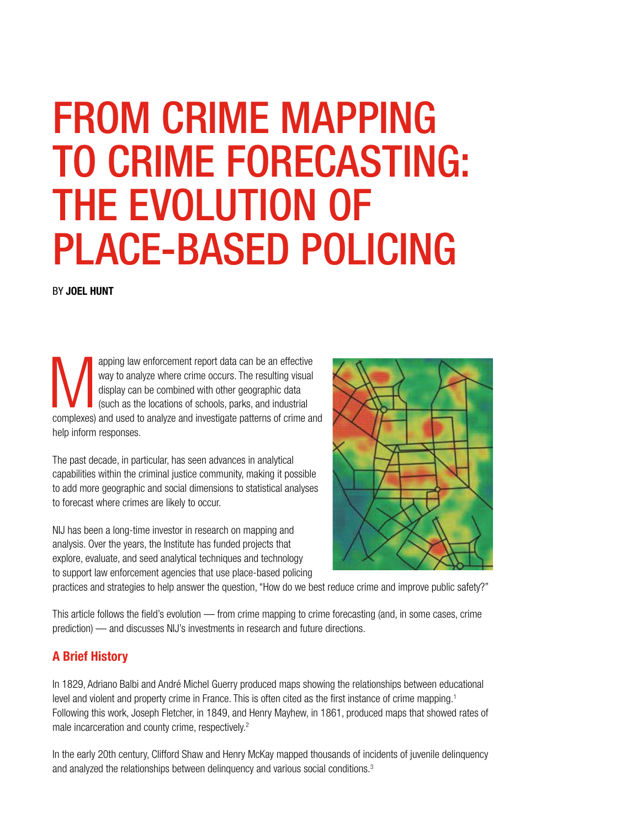# FROM CRIME MAPPING TO CRIME FORECASTING: THE EVOLUTION OF PLACE-BASED POLICING

BY JOEL HUNT

apping law enforcement report data can be an effective<br>way to analyze where crime occurs. The resulting visual<br>display can be combined with other geographic data<br>(such as the locations of schools, parks, and industrial<br>com way to analyze where crime occurs. The resulting visual display can be combined with other geographic data (such as the locations of schools, parks, and industrial complexes) and used to analyze and investigate patterns of crime and help inform responses.

The past decade, in particular, has seen advances in analytical capabilities within the criminal justice community, making it possible to add more geographic and social dimensions to statistical analyses to forecast where crimes are likely to occur.

NIJ has been a long-time investor in research on mapping and analysis. Over the years, the Institute has funded projects that explore, evaluate, and seed analytical techniques and technology to support law enforcement agencies that use place-based policing



practices and strategies to help answer the question, "How do we best reduce crime and improve public safety?"

This article follows the field's evolution — from crime mapping to crime forecasting (and, in some cases, crime prediction) — and discusses NIJ's investments in research and future directions.

## A Brief History

In 1829, Adriano Balbi and André Michel Guerry produced maps showing the relationships between educational level and violent and property crime in France. This is often cited as the first instance of crime mapping.1 Following this work, Joseph Fletcher, in 1849, and Henry Mayhew, in 1861, produced maps that showed rates of male incarceration and county crime, respectively.<sup>2</sup>

In the early 20th century, Clifford Shaw and Henry McKay mapped thousands of incidents of juvenile delinquency and analyzed the relationships between delinquency and various social conditions.<sup>3</sup>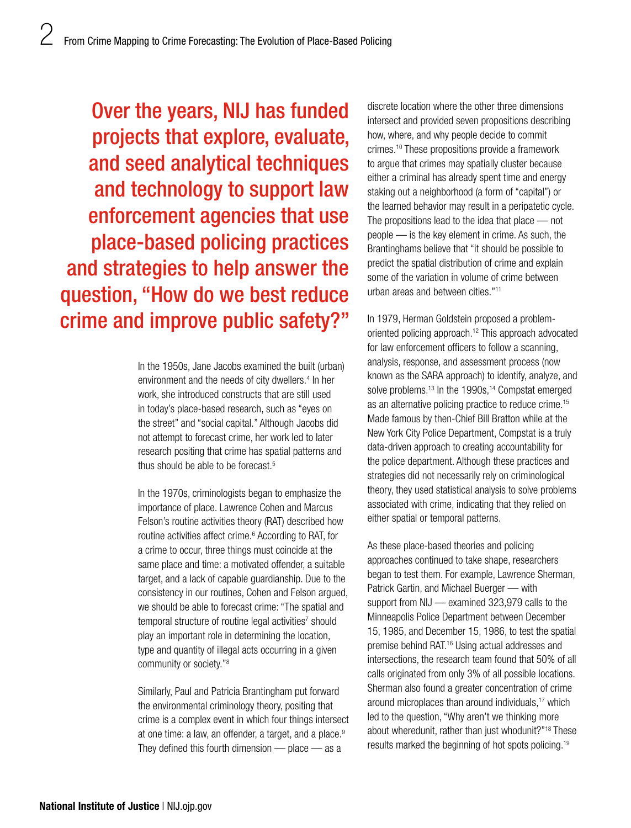Over the years, NIJ has funded projects that explore, evaluate, and seed analytical techniques and technology to support law enforcement agencies that use place-based policing practices and strategies to help answer the question, "How do we best reduce crime and improve public safety?"

> In the 1950s, Jane Jacobs examined the built (urban) environment and the needs of city dwellers.<sup>4</sup> In her work, she introduced constructs that are still used in today's place-based research, such as "eyes on the street" and "social capital." Although Jacobs did not attempt to forecast crime, her work led to later research positing that crime has spatial patterns and thus should be able to be forecast.<sup>5</sup>

In the 1970s, criminologists began to emphasize the importance of place. Lawrence Cohen and Marcus Felson's routine activities theory (RAT) described how routine activities affect crime.<sup>6</sup> According to RAT, for a crime to occur, three things must coincide at the same place and time: a motivated offender, a suitable target, and a lack of capable guardianship. Due to the consistency in our routines, Cohen and Felson argued, we should be able to forecast crime: "The spatial and temporal structure of routine legal activities<sup>7</sup> should play an important role in determining the location, type and quantity of illegal acts occurring in a given community or society."8

Similarly, Paul and Patricia Brantingham put forward the environmental criminology theory, positing that crime is a complex event in which four things intersect at one time: a law, an offender, a target, and a place.<sup>9</sup> They defined this fourth dimension  $-$  place  $-$  as a

discrete location where the other three dimensions intersect and provided seven propositions describing how, where, and why people decide to commit crimes.10 These propositions provide a framework to argue that crimes may spatially cluster because either a criminal has already spent time and energy staking out a neighborhood (a form of "capital") or the learned behavior may result in a peripatetic cycle. The propositions lead to the idea that place — not people — is the key element in crime. As such, the Brantinghams believe that "it should be possible to predict the spatial distribution of crime and explain some of the variation in volume of crime between urban areas and between cities."11

In 1979, Herman Goldstein proposed a problemoriented policing approach.12 This approach advocated for law enforcement officers to follow a scanning, analysis, response, and assessment process (now known as the SARA approach) to identify, analyze, and solve problems.<sup>13</sup> In the 1990s,<sup>14</sup> Compstat emerged as an alternative policing practice to reduce crime.15 Made famous by then-Chief Bill Bratton while at the New York City Police Department, Compstat is a truly data-driven approach to creating accountability for the police department. Although these practices and strategies did not necessarily rely on criminological theory, they used statistical analysis to solve problems associated with crime, indicating that they relied on either spatial or temporal patterns.

As these place-based theories and policing approaches continued to take shape, researchers began to test them. For example, Lawrence Sherman, Patrick Gartin, and Michael Buerger — with support from NIJ — examined 323,979 calls to the Minneapolis Police Department between December 15, 1985, and December 15, 1986, to test the spatial premise behind RAT.16 Using actual addresses and intersections, the research team found that 50% of all calls originated from only 3% of all possible locations. Sherman also found a greater concentration of crime around microplaces than around individuals,<sup>17</sup> which led to the question, "Why aren't we thinking more about wheredunit, rather than just whodunit?"18 These results marked the beginning of hot spots policing.19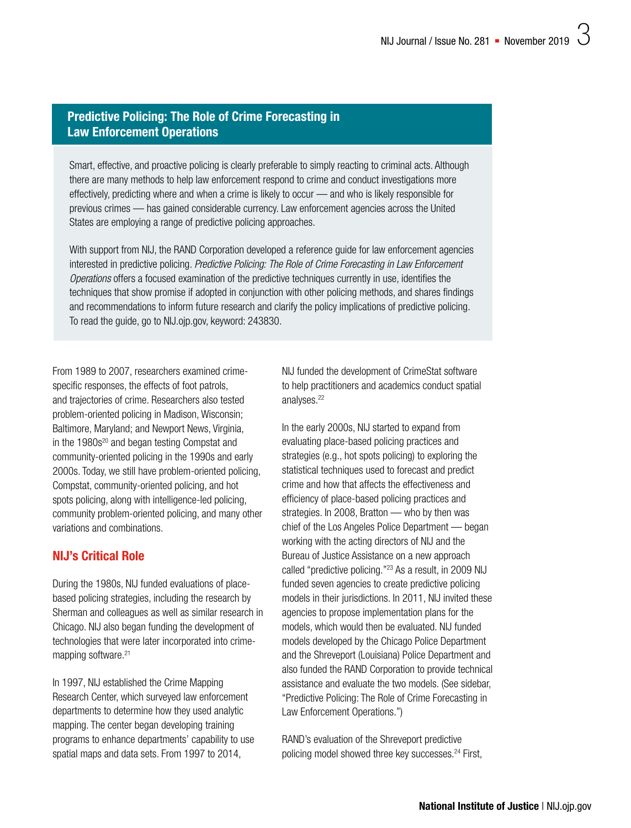### Predictive Policing: The Role of Crime Forecasting in Law Enforcement Operations

Smart, effective, and proactive policing is clearly preferable to simply reacting to criminal acts. Although there are many methods to help law enforcement respond to crime and conduct investigations more effectively, predicting where and when a crime is likely to occur — and who is likely responsible for previous crimes — has gained considerable currency. Law enforcement agencies across the United States are employing a range of predictive policing approaches.

With support from NIJ, the RAND Corporation developed a reference guide for law enforcement agencies interested in predictive policing. *Predictive Policing: The Role of Crime Forecasting in Law Enforcement Operations* offers a focused examination of the predictive techniques currently in use, identifies the techniques that show promise if adopted in conjunction with other policing methods, and shares findings and recommendations to inform future research and clarify the policy implications of predictive policing. To read the guide, go to [NIJ.ojp.gov, keyword: 243830](https://www.ncjrs.gov/pdffiles1/nij/grants/243830.pdf).

From 1989 to 2007, researchers examined crimespecific responses, the effects of foot patrols, and trajectories of crime. Researchers also tested problem-oriented policing in Madison, Wisconsin; Baltimore, Maryland; and Newport News, Virginia, in the 1980s<sup>20</sup> and began testing Compstat and community-oriented policing in the 1990s and early 2000s. Today, we still have problem-oriented policing, Compstat, community-oriented policing, and hot spots policing, along with intelligence-led policing, community problem-oriented policing, and many other variations and combinations.

## NIJ's Critical Role

During the 1980s, NIJ funded evaluations of placebased policing strategies, including the research by Sherman and colleagues as well as similar research in Chicago. NIJ also began funding the development of technologies that were later incorporated into crimemapping software.<sup>21</sup>

In 1997, NIJ established the Crime Mapping Research Center, which surveyed law enforcement departments to determine how they used analytic mapping. The center began developing training programs to enhance departments' capability to use spatial maps and data sets. From 1997 to 2014,

NIJ funded the development of CrimeStat software to help practitioners and academics conduct spatial analyses.<sup>22</sup>

In the early 2000s, NIJ started to expand from evaluating place-based policing practices and strategies (e.g., hot spots policing) to exploring the statistical techniques used to forecast and predict crime and how that affects the effectiveness and efficiency of place-based policing practices and strategies. In 2008, Bratton — who by then was chief of the Los Angeles Police Department — began working with the acting directors of NIJ and the Bureau of Justice Assistance on a new approach called "predictive policing."23 As a result, in 2009 NIJ funded seven agencies to create predictive policing models in their jurisdictions. In 2011, NIJ invited these agencies to propose implementation plans for the models, which would then be evaluated. NIJ funded models developed by the Chicago Police Department and the Shreveport (Louisiana) Police Department and also funded the RAND Corporation to provide technical assistance and evaluate the two models. (See sidebar, "Predictive Policing: The Role of Crime Forecasting in Law Enforcement Operations.")

RAND's evaluation of the Shreveport predictive policing model showed three key successes.<sup>24</sup> First,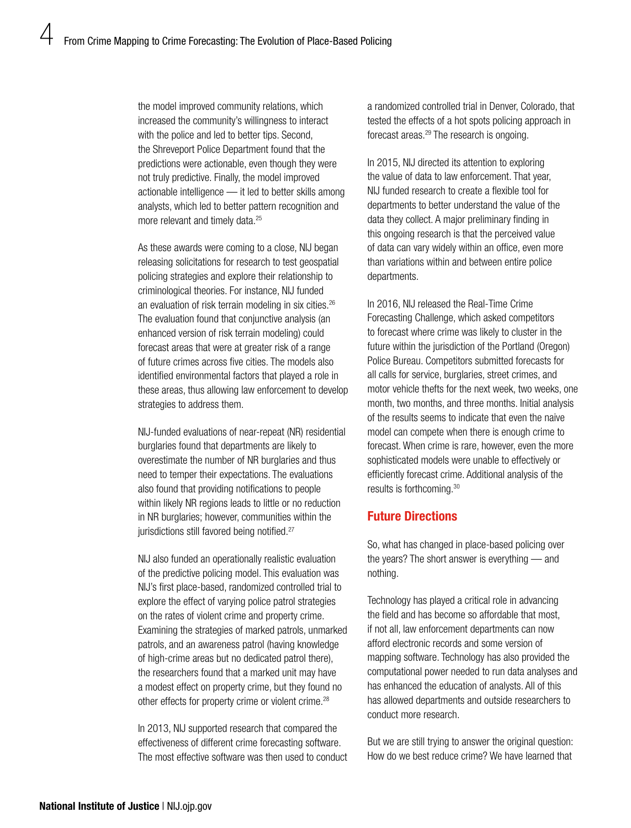the model improved community relations, which increased the community's willingness to interact with the police and led to better tips. Second, the Shreveport Police Department found that the predictions were actionable, even though they were not truly predictive. Finally, the model improved actionable intelligence — it led to better skills among analysts, which led to better pattern recognition and more relevant and timely data.25

As these awards were coming to a close, NIJ began releasing solicitations for research to test geospatial policing strategies and explore their relationship to criminological theories. For instance, NIJ funded an evaluation of risk terrain modeling in six cities.<sup>26</sup> The evaluation found that conjunctive analysis (an enhanced version of risk terrain modeling) could forecast areas that were at greater risk of a range of future crimes across five cities. The models also identified environmental factors that played a role in these areas, thus allowing law enforcement to develop strategies to address them.

NIJ-funded evaluations of near-repeat (NR) residential burglaries found that departments are likely to overestimate the number of NR burglaries and thus need to temper their expectations. The evaluations also found that providing notifications to people within likely NR regions leads to little or no reduction in NR burglaries; however, communities within the jurisdictions still favored being notified.<sup>27</sup>

NIJ also funded an operationally realistic evaluation of the predictive policing model. This evaluation was NIJ's first place-based, randomized controlled trial to explore the effect of varying police patrol strategies on the rates of violent crime and property crime. Examining the strategies of marked patrols, unmarked patrols, and an awareness patrol (having knowledge of high-crime areas but no dedicated patrol there), the researchers found that a marked unit may have a modest effect on property crime, but they found no other effects for property crime or violent crime.<sup>28</sup>

In 2013, NIJ supported research that compared the effectiveness of different crime forecasting software. The most effective software was then used to conduct a randomized controlled trial in Denver, Colorado, that tested the effects of a hot spots policing approach in forecast areas.<sup>29</sup> The research is ongoing.

In 2015, NIJ directed its attention to exploring the value of data to law enforcement. That year, NIJ funded research to create a flexible tool for departments to better understand the value of the data they collect. A major preliminary finding in this ongoing research is that the perceived value of data can vary widely within an office, even more than variations within and between entire police departments.

In 2016, NIJ released the Real-Time Crime Forecasting Challenge, which asked competitors to forecast where crime was likely to cluster in the future within the jurisdiction of the Portland (Oregon) Police Bureau. Competitors submitted forecasts for all calls for service, burglaries, street crimes, and motor vehicle thefts for the next week, two weeks, one month, two months, and three months. Initial analysis of the results seems to indicate that even the naive model can compete when there is enough crime to forecast. When crime is rare, however, even the more sophisticated models were unable to effectively or efficiently forecast crime. Additional analysis of the results is forthcoming.30

#### Future Directions

So, what has changed in place-based policing over the years? The short answer is everything — and nothing.

Technology has played a critical role in advancing the field and has become so affordable that most, if not all, law enforcement departments can now afford electronic records and some version of mapping software. Technology has also provided the computational power needed to run data analyses and has enhanced the education of analysts. All of this has allowed departments and outside researchers to conduct more research.

But we are still trying to answer the original question: How do we best reduce crime? We have learned that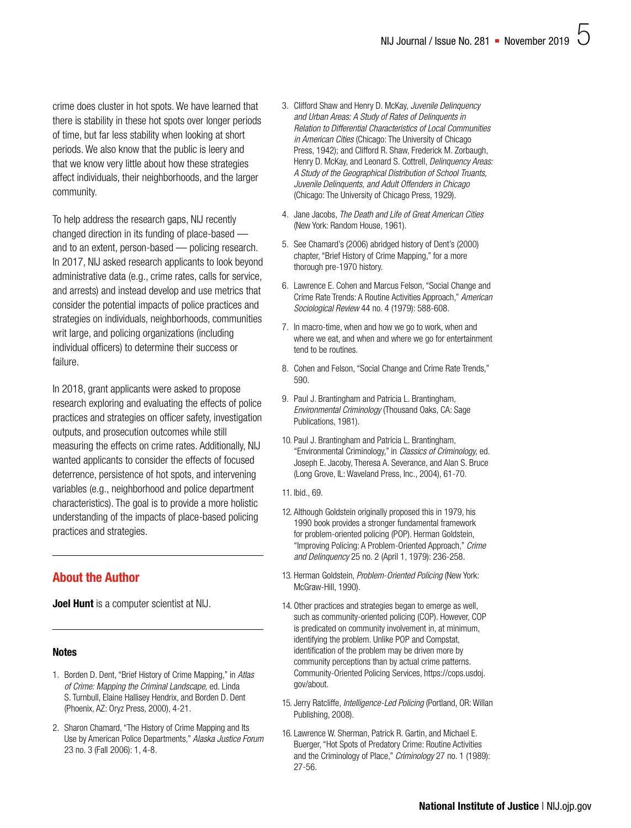crime does cluster in hot spots. We have learned that there is stability in these hot spots over longer periods of time, but far less stability when looking at short periods. We also know that the public is leery and that we know very little about how these strategies affect individuals, their neighborhoods, and the larger community.

To help address the research gaps, NIJ recently changed direction in its funding of place-based and to an extent, person-based — policing research. In 2017, NIJ asked research applicants to look beyond administrative data (e.g., crime rates, calls for service, and arrests) and instead develop and use metrics that consider the potential impacts of police practices and strategies on individuals, neighborhoods, communities writ large, and policing organizations (including individual officers) to determine their success or failure.

In 2018, grant applicants were asked to propose research exploring and evaluating the effects of police practices and strategies on officer safety, investigation outputs, and prosecution outcomes while still measuring the effects on crime rates. Additionally, NIJ wanted applicants to consider the effects of focused deterrence, persistence of hot spots, and intervening variables (e.g., neighborhood and police department characteristics). The goal is to provide a more holistic understanding of the impacts of place-based policing practices and strategies.

## About the Author

**Joel Hunt** is a computer scientist at NIJ.

#### **Notes**

- 1. Borden D. Dent, "Brief History of Crime Mapping," in *Atlas of Crime: Mapping the Criminal Landscape,* ed. Linda S. Turnbull, Elaine Hallisey Hendrix, and Borden D. Dent (Phoenix, AZ: Oryz Press, 2000), 4-21.
- 2. Sharon Chamard, "The History of Crime Mapping and Its Use by American Police Departments," *Alaska Justice Forum* 23 no. 3 (Fall 2006): 1, 4-8.
- 3. Clifford Shaw and Henry D. McKay, *Juvenile Delinquency and Urban Areas: A Study of Rates of Delinquents in Relation to Differential Characteristics of Local Communities in American Cities* (Chicago: The University of Chicago Press, 1942); and Clifford R. Shaw, Frederick M. Zorbaugh, Henry D. McKay, and Leonard S. Cottrell, *Delinquency Areas: A Study of the Geographical Distribution of School Truants, Juvenile Delinquents, and Adult Offenders in Chicago* (Chicago: The University of Chicago Press, 1929).
- 4. Jane Jacobs, *The Death and Life of Great American Cities* (New York: Random House, 1961).
- 5. See Chamard's (2006) abridged history of Dent's (2000) chapter, "Brief History of Crime Mapping," for a more thorough pre-1970 history.
- 6. Lawrence E. Cohen and Marcus Felson, "Social Change and Crime Rate Trends: A Routine Activities Approach," *American Sociological Review* 44 no. 4 (1979): 588-608.
- 7. In macro-time, when and how we go to work, when and where we eat, and when and where we go for entertainment tend to be routines.
- 8. Cohen and Felson, "Social Change and Crime Rate Trends," 590.
- 9. Paul J. Brantingham and Patricia L. Brantingham, *Environmental Criminology* (Thousand Oaks, CA: Sage Publications, 1981).
- 10. Paul J. Brantingham and Patricia L. Brantingham, "Environmental Criminology," in *Classics of Criminology,* ed. Joseph E. Jacoby, Theresa A. Severance, and Alan S. Bruce (Long Grove, IL: Waveland Press, Inc., 2004), 61-70.
- 11. Ibid., 69.
- 12. Although Goldstein originally proposed this in 1979, his 1990 book provides a stronger fundamental framework for problem-oriented policing (POP). Herman Goldstein, "Improving Policing: A Problem-Oriented Approach," *Crime and Delinquency* 25 no. 2 (April 1, 1979): 236-258.
- 13. Herman Goldstein, *Problem-Oriented Policing* (New York: McGraw-Hill, 1990).
- 14. Other practices and strategies began to emerge as well, such as community-oriented policing (COP). However, COP is predicated on community involvement in, at minimum, identifying the problem. Unlike POP and Compstat, identification of the problem may be driven more by community perceptions than by actual crime patterns. Community-Oriented Policing Services, [https://cops.usdoj.](https://cops.usdoj.gov/about) [gov/about](https://cops.usdoj.gov/about).
- 15. Jerry Ratcliffe, *Intelligence-Led Policing* (Portland, OR: Willan Publishing, 2008).
- 16. Lawrence W. Sherman, Patrick R. Gartin, and Michael E. Buerger, "Hot Spots of Predatory Crime: Routine Activities and the Criminology of Place," *Criminology* 27 no. 1 (1989): 27-56.